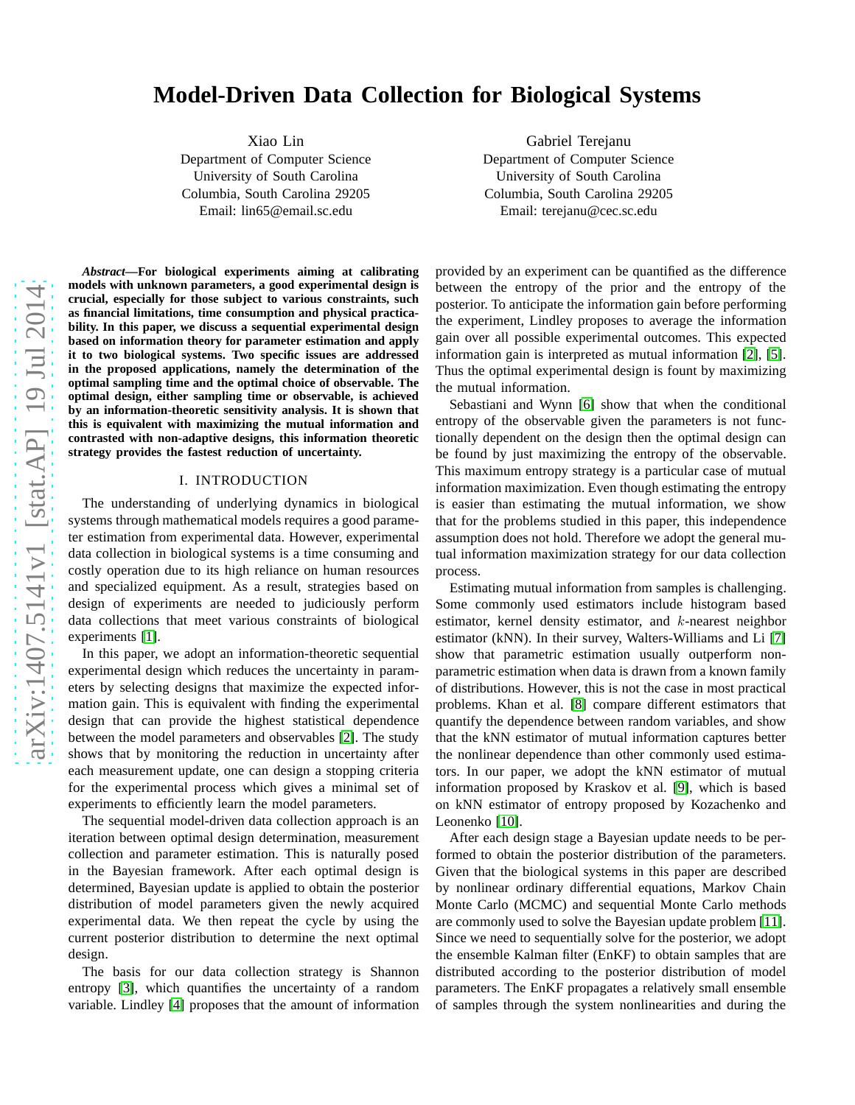# **Model-Driven Data Collection for Biological Systems**

Xiao Lin

Department of Computer Science University of South Carolina Columbia, South Carolina 29205 Email: lin65@email.sc.edu

Gabriel Terejanu Department of Computer Science University of South Carolina Columbia, South Carolina 29205 Email: terejanu@cec.sc.edu

*Abstract***—For biological experiments aiming at calibrating models with unknown parameters, a good experimental design is crucial, especially for those subject to various constraints, such as financial limitations, time consumption and physical practicability. In this paper, we discuss a sequential experimental design based on information theory for parameter estimation and apply it to two biological systems. Two specific issues are addressed in the proposed applications, namely the determination of the optimal sampling time and the optimal choice of observable. The optimal design, either sampling time or observable, is achieved by an information-theoretic sensitivity analysis. It is shown that this is equivalent with maximizing the mutual information and contrasted with non-adaptive designs, this information theoretic strategy provides the fastest reduction of uncertainty.**

# I. INTRODUCTION

The understanding of underlying dynamics in biological systems through mathematical models requires a good parameter estimation from experimental data. However, experimental data collection in biological systems is a time consuming and costly operation due to its high reliance on human resources and specialized equipment. As a result, strategies based on design of experiments are needed to judiciously perform data collections that meet various constraints of biological experiments [\[1\]](#page-4-0).

In this paper, we adopt an information-theoretic sequential experimental design which reduces the uncertainty in parameters by selecting designs that maximize the expected information gain. This is equivalent with finding the experimental design that can provide the highest statistical dependence between the model parameters and observables [\[2\]](#page-4-1). The study shows that by monitoring the reduction in uncertainty after each measurement update, one can design a stopping criteria for the experimental process which gives a minimal set of experiments to efficiently learn the model parameters.

The sequential model-driven data collection approach is an iteration between optimal design determination, measurement collection and parameter estimation. This is naturally posed in the Bayesian framework. After each optimal design is determined, Bayesian update is applied to obtain the posterior distribution of model parameters given the newly acquired experimental data. We then repeat the cycle by using the current posterior distribution to determine the next optimal design.

The basis for our data collection strategy is Shannon entropy [\[3\]](#page-4-2), which quantifies the uncertainty of a random variable. Lindley [\[4\]](#page-4-3) proposes that the amount of information provided by an experiment can be quantified as the difference between the entropy of the prior and the entropy of the posterior. To anticipate the information gain before performing the experiment, Lindley proposes to average the information gain over all possible experimental outcomes. This expected information gain is interpreted as mutual information [\[2\]](#page-4-1), [\[5\]](#page-4-4). Thus the optimal experimental design is fount by maximizing the mutual information.

Sebastiani and Wynn [\[6\]](#page-4-5) show that when the conditional entropy of the observable given the parameters is not functionally dependent on the design then the optimal design can be found by just maximizing the entropy of the observable. This maximum entropy strategy is a particular case of mutual information maximization. Even though estimating the entropy is easier than estimating the mutual information, we show that for the problems studied in this paper, this independence assumption does not hold. Therefore we adopt the general mutual information maximization strategy for our data collection process.

Estimating mutual information from samples is challenging. Some commonly used estimators include histogram based estimator, kernel density estimator, and k-nearest neighbor estimator (kNN). In their survey, Walters-Williams and Li [\[7\]](#page-4-6) show that parametric estimation usually outperform nonparametric estimation when data is drawn from a known family of distributions. However, this is not the case in most practical problems. Khan et al. [\[8\]](#page-4-7) compare different estimators that quantify the dependence between random variables, and show that the kNN estimator of mutual information captures better the nonlinear dependence than other commonly used estimators. In our paper, we adopt the kNN estimator of mutual information proposed by Kraskov et al. [\[9\]](#page-4-8), which is based on kNN estimator of entropy proposed by Kozachenko and Leonenko [\[10\]](#page-5-0).

After each design stage a Bayesian update needs to be performed to obtain the posterior distribution of the parameters. Given that the biological systems in this paper are described by nonlinear ordinary differential equations, Markov Chain Monte Carlo (MCMC) and sequential Monte Carlo methods are commonly used to solve the Bayesian update problem [\[11\]](#page-5-1). Since we need to sequentially solve for the posterior, we adopt the ensemble Kalman filter (EnKF) to obtain samples that are distributed according to the posterior distribution of model parameters. The EnKF propagates a relatively small ensemble of samples through the system nonlinearities and during the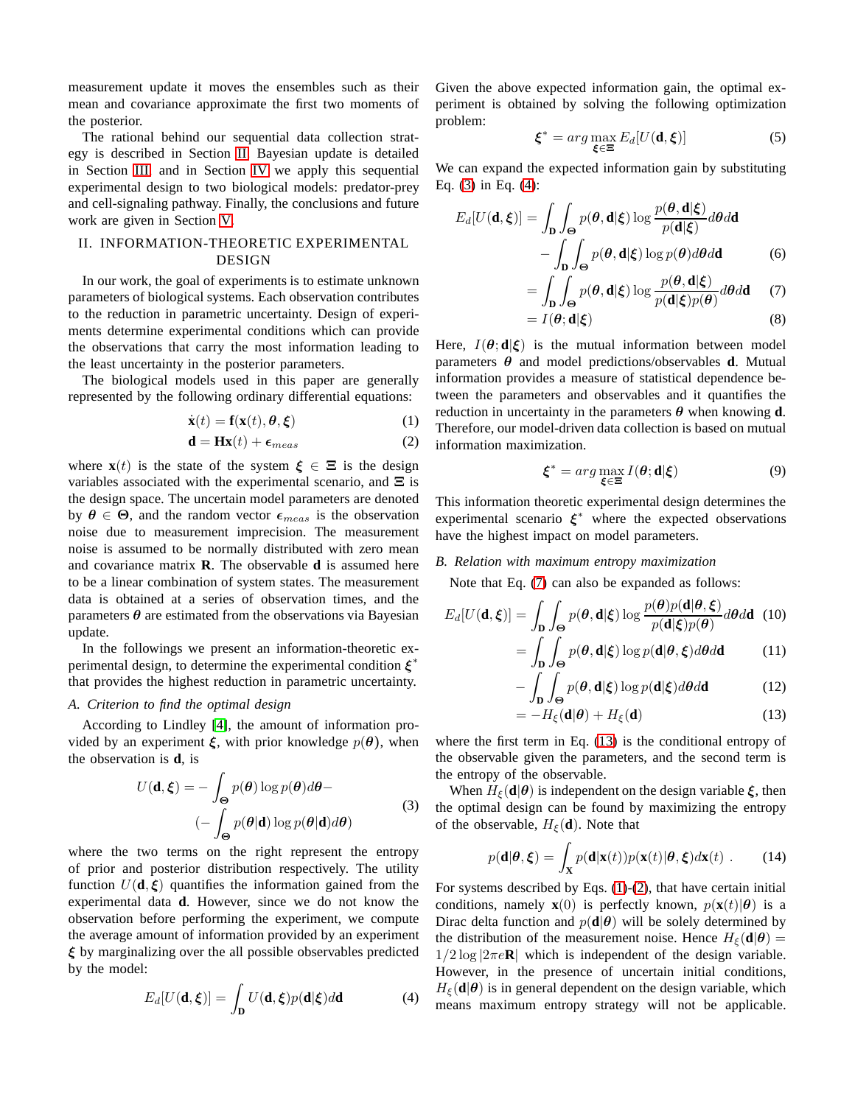measurement update it moves the ensembles such as their mean and covariance approximate the first two moments of the posterior.

The rational behind our sequential data collection strategy is described in Section [II.](#page-1-0) Bayesian update is detailed in Section [III,](#page-2-0) and in Section [IV](#page-2-1) we apply this sequential experimental design to two biological models: predator-prey and cell-signaling pathway. Finally, the conclusions and future work are given in Section [V.](#page-4-9)

# <span id="page-1-0"></span>II. INFORMATION-THEORETIC EXPERIMENTAL DESIGN

In our work, the goal of experiments is to estimate unknown parameters of biological systems. Each observation contributes to the reduction in parametric uncertainty. Design of experiments determine experimental conditions which can provide the observations that carry the most information leading to the least uncertainty in the posterior parameters.

The biological models used in this paper are generally represented by the following ordinary differential equations:

$$
\dot{\mathbf{x}}(t) = \mathbf{f}(\mathbf{x}(t), \boldsymbol{\theta}, \boldsymbol{\xi}) \tag{1}
$$

$$
\mathbf{d} = \mathbf{H}\mathbf{x}(t) + \epsilon_{meas} \tag{2}
$$

where  $\mathbf{x}(t)$  is the state of the system  $\xi \in \Xi$  is the design variables associated with the experimental scenario, and  $\Xi$  is the design space. The uncertain model parameters are denoted by  $\theta \in \Theta$ , and the random vector  $\epsilon_{meas}$  is the observation noise due to measurement imprecision. The measurement noise is assumed to be normally distributed with zero mean and covariance matrix **R**. The observable **d** is assumed here to be a linear combination of system states. The measurement data is obtained at a series of observation times, and the parameters  $\theta$  are estimated from the observations via Bayesian update.

In the followings we present an information-theoretic experimental design, to determine the experimental condition  $\xi^*$ that provides the highest reduction in parametric uncertainty.

# *A. Criterion to find the optimal design*

According to Lindley [\[4\]](#page-4-3), the amount of information provided by an experiment  $\xi$ , with prior knowledge  $p(\theta)$ , when the observation is **d**, is

<span id="page-1-1"></span>
$$
U(\mathbf{d}, \boldsymbol{\xi}) = -\int_{\Theta} p(\boldsymbol{\theta}) \log p(\boldsymbol{\theta}) d\boldsymbol{\theta} - (-\int_{\Theta} p(\boldsymbol{\theta}|\mathbf{d}) \log p(\boldsymbol{\theta}|\mathbf{d}) d\boldsymbol{\theta})
$$
(3)

where the two terms on the right represent the entropy of prior and posterior distribution respectively. The utility function  $U(\mathbf{d}, \boldsymbol{\xi})$  quantifies the information gained from the experimental data **d**. However, since we do not know the observation before performing the experiment, we compute the average amount of information provided by an experiment  $\xi$  by marginalizing over the all possible observables predicted by the model:

<span id="page-1-2"></span>
$$
E_d[U(\mathbf{d}, \boldsymbol{\xi})] = \int_{\mathbf{D}} U(\mathbf{d}, \boldsymbol{\xi}) p(\mathbf{d} | \boldsymbol{\xi}) d\mathbf{d}
$$
 (4)

Given the above expected information gain, the optimal experiment is obtained by solving the following optimization problem:

$$
\boldsymbol{\xi}^* = \arg \max_{\boldsymbol{\xi} \in \Xi} E_d[U(\mathbf{d}, \boldsymbol{\xi})] \tag{5}
$$

We can expand the expected information gain by substituting Eq. [\(3\)](#page-1-1) in Eq. [\(4\)](#page-1-2):

$$
E_d[U(\mathbf{d}, \boldsymbol{\xi})] = \int_{\mathbf{D}} \int_{\mathbf{\Theta}} p(\boldsymbol{\theta}, \mathbf{d} | \boldsymbol{\xi}) \log \frac{p(\boldsymbol{\theta}, \mathbf{d} | \boldsymbol{\xi})}{p(\mathbf{d} | \boldsymbol{\xi})} d\boldsymbol{\theta} d\mathbf{d}
$$

$$
- \int_{\mathbf{D}} \int_{\mathbf{\Theta}} p(\boldsymbol{\theta}, \mathbf{d} | \boldsymbol{\xi}) \log p(\boldsymbol{\theta}) d\boldsymbol{\theta} d\mathbf{d}
$$
(6)

<span id="page-1-3"></span>
$$
= \int_{\mathbf{D}} \int_{\Theta} p(\theta, \mathbf{d}|\xi) \log \frac{p(\theta, \mathbf{d}|\xi)}{p(\mathbf{d}|\xi)p(\theta)} d\theta d\mathbf{d}
$$
 (7)  
=  $I(\theta; \mathbf{d}|\xi)$  (8)

<span id="page-1-5"></span>Here,  $I(\theta; \mathbf{d}|\xi)$  is the mutual information between model parameters  $\theta$  and model predictions/observables **d**. Mutual information provides a measure of statistical dependence between the parameters and observables and it quantifies the reduction in uncertainty in the parameters  $\theta$  when knowing **d**. Therefore, our model-driven data collection is based on mutual information maximization.

$$
\boldsymbol{\xi}^* = \arg \max_{\boldsymbol{\xi} \in \Xi} I(\boldsymbol{\theta}; \mathbf{d} | \boldsymbol{\xi}) \tag{9}
$$

<span id="page-1-6"></span>This information theoretic experimental design determines the experimental scenario  $\xi^*$  where the expected observations have the highest impact on model parameters.

### *B. Relation with maximum entropy maximization*

Note that Eq. [\(7\)](#page-1-3) can also be expanded as follows:

$$
E_d[U(\mathbf{d}, \boldsymbol{\xi})] = \int_{\mathbf{D}} \int_{\Theta} p(\boldsymbol{\theta}, \mathbf{d} | \boldsymbol{\xi}) \log \frac{p(\boldsymbol{\theta}) p(\mathbf{d} | \boldsymbol{\theta}, \boldsymbol{\xi})}{p(\mathbf{d} | \boldsymbol{\xi}) p(\boldsymbol{\theta})} d\boldsymbol{\theta} d\mathbf{d} \quad (10)
$$

$$
= \int_{\Theta} p(\boldsymbol{\theta}, \mathbf{d} | \boldsymbol{\xi}) \log p(\mathbf{d} | \boldsymbol{\theta}, \boldsymbol{\xi}) d\boldsymbol{\theta} d\mathbf{d} \quad (11)
$$

$$
= \int_{\mathbf{D}} \int_{\Theta} p(\theta, \mathbf{d}|\xi) \log p(\mathbf{d}|\theta, \xi) d\theta d\mathbf{d} \tag{11}
$$

$$
-\int_{\mathbf{D}}\int_{\Theta}p(\boldsymbol{\theta},\mathbf{d}|\boldsymbol{\xi})\log p(\mathbf{d}|\boldsymbol{\xi})d\boldsymbol{\theta}d\mathbf{d}
$$
 (12)

<span id="page-1-4"></span>
$$
=-H_{\xi}(\mathbf{d}|\boldsymbol{\theta})+H_{\xi}(\mathbf{d})
$$
\n(13)

where the first term in Eq.  $(13)$  is the conditional entropy of the observable given the parameters, and the second term is the entropy of the observable.

When  $H_{\xi}(\mathbf{d}|\boldsymbol{\theta})$  is independent on the design variable  $\xi$ , then the optimal design can be found by maximizing the entropy of the observable,  $H_{\xi}(\mathbf{d})$ . Note that

$$
p(\mathbf{d}|\boldsymbol{\theta}, \boldsymbol{\xi}) = \int_{\mathbf{X}} p(\mathbf{d}|\mathbf{x}(t)) p(\mathbf{x}(t)|\boldsymbol{\theta}, \boldsymbol{\xi}) d\mathbf{x}(t) .
$$
 (14)

For systems described by Eqs. [\(1\)](#page-1-5)-[\(2\)](#page-1-6), that have certain initial conditions, namely **x**(0) is perfectly known,  $p(\mathbf{x}(t)|\boldsymbol{\theta})$  is a Dirac delta function and  $p(\mathbf{d}|\boldsymbol{\theta})$  will be solely determined by the distribution of the measurement noise. Hence  $H_{\xi}(\mathbf{d}|\boldsymbol{\theta}) =$  $1/2 \log |2\pi e \mathbf{R}|$  which is independent of the design variable. However, in the presence of uncertain initial conditions,  $H_{\xi}(\mathbf{d}|\boldsymbol{\theta})$  is in general dependent on the design variable, which means maximum entropy strategy will not be applicable.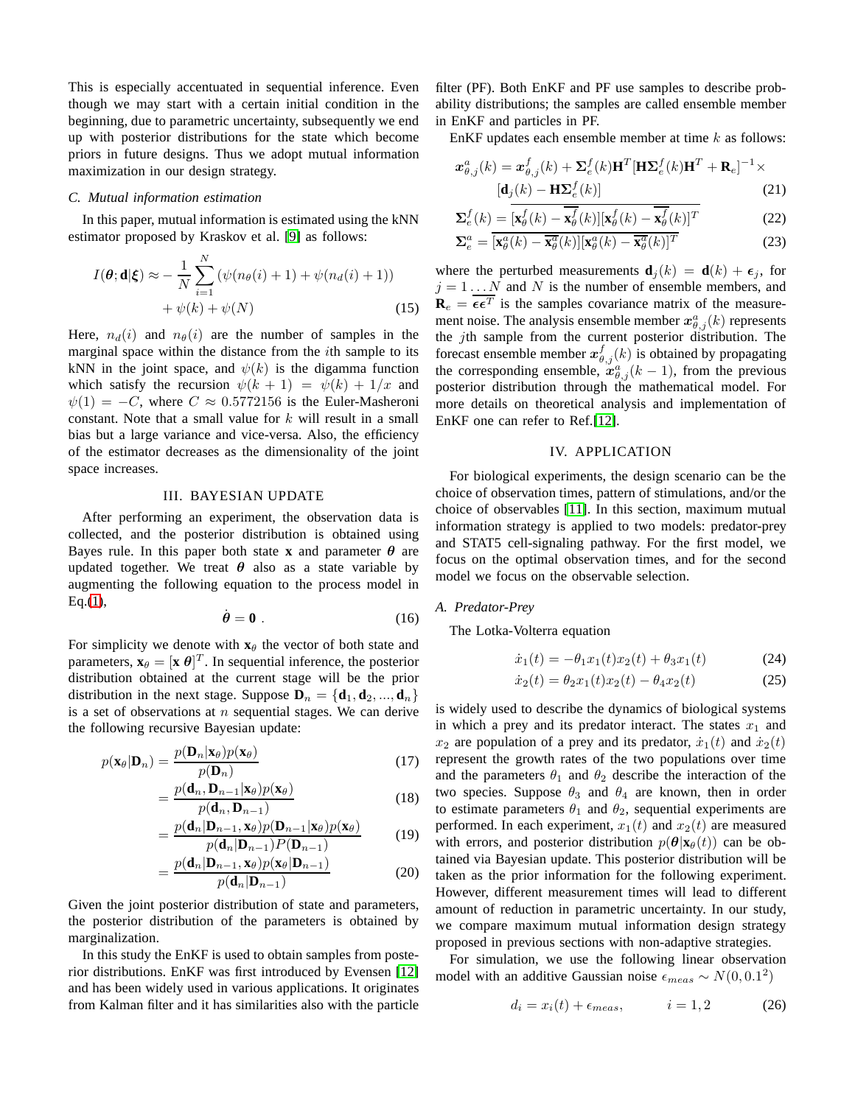This is especially accentuated in sequential inference. Even though we may start with a certain initial condition in the beginning, due to parametric uncertainty, subsequently we end up with posterior distributions for the state which become priors in future designs. Thus we adopt mutual information maximization in our design strategy.

# *C. Mutual information estimation*

In this paper, mutual information is estimated using the kNN estimator proposed by Kraskov et al. [\[9\]](#page-4-8) as follows:

$$
I(\boldsymbol{\theta}; \mathbf{d}|\boldsymbol{\xi}) \approx -\frac{1}{N} \sum_{i=1}^{N} \left( \psi(n_{\boldsymbol{\theta}}(i) + 1) + \psi(n_{d}(i) + 1) \right) + \psi(k) + \psi(N) \tag{15}
$$

Here,  $n_d(i)$  and  $n_\theta(i)$  are the number of samples in the marginal space within the distance from the ith sample to its kNN in the joint space, and  $\psi(k)$  is the digamma function which satisfy the recursion  $\psi(k + 1) = \psi(k) + 1/x$  and  $\psi(1) = -C$ , where  $C \approx 0.5772156$  is the Euler-Masheroni constant. Note that a small value for  $k$  will result in a small bias but a large variance and vice-versa. Also, the efficiency of the estimator decreases as the dimensionality of the joint space increases.

#### III. BAYESIAN UPDATE

<span id="page-2-0"></span>After performing an experiment, the observation data is collected, and the posterior distribution is obtained using Bayes rule. In this paper both state **x** and parameter  $\theta$  are updated together. We treat  $\theta$  also as a state variable by augmenting the following equation to the process model in  $Eq.(1),$  $Eq.(1),$  $Eq.(1),$ 

$$
\dot{\theta} = 0 \tag{16}
$$

For simplicity we denote with  $\mathbf{x}_{\theta}$  the vector of both state and parameters,  $\mathbf{x}_{\theta} = [\mathbf{x} \; \theta]^T$ . In sequential inference, the posterior distribution obtained at the current stage will be the prior distribution in the next stage. Suppose  $\mathbf{D}_n = {\mathbf{d}_1, \mathbf{d}_2, ..., \mathbf{d}_n}$ is a set of observations at  $n$  sequential stages. We can derive the following recursive Bayesian update:

$$
p(\mathbf{x}_{\theta}|\mathbf{D}_{n}) = \frac{p(\mathbf{D}_{n}|\mathbf{x}_{\theta})p(\mathbf{x}_{\theta})}{p(\mathbf{D}_{n})}
$$
(17)

$$
=\frac{p(\mathbf{d}_n, \mathbf{D}_{n-1}|\mathbf{x}_{\theta})p(\mathbf{x}_{\theta})}{p(\mathbf{d}_n, \mathbf{D}_{n-1})}
$$
(18)

$$
= \frac{p(\mathbf{d}_n | \mathbf{D}_{n-1}, \mathbf{x}_{\theta}) p(\mathbf{D}_{n-1} | \mathbf{x}_{\theta}) p(\mathbf{x}_{\theta})}{p(\mathbf{d}_n | \mathbf{D}_{n-1}) P(\mathbf{D}_{n-1})}
$$
(19)

$$
= \frac{p(\mathbf{d}_n | \mathbf{D}_{n-1}, \mathbf{x}_{\theta}) p(\mathbf{x}_{\theta} | \mathbf{D}_{n-1})}{p(\mathbf{d}_n | \mathbf{D}_{n-1})}
$$
(20)

Given the joint posterior distribution of state and parameters, the posterior distribution of the parameters is obtained by marginalization.

In this study the EnKF is used to obtain samples from posterior distributions. EnKF was first introduced by Evensen [\[12\]](#page-5-2) and has been widely used in various applications. It originates from Kalman filter and it has similarities also with the particle filter (PF). Both EnKF and PF use samples to describe probability distributions; the samples are called ensemble member in EnKF and particles in PF.

EnKF updates each ensemble member at time  $k$  as follows:

$$
\mathbf{x}_{\theta,j}^a(k) = \mathbf{x}_{\theta,j}^f(k) + \mathbf{\Sigma}_{e}^f(k)\mathbf{H}^T[\mathbf{H}\mathbf{\Sigma}_{e}^f(k)\mathbf{H}^T + \mathbf{R}_{e}]^{-1} \times [\mathbf{d}_j(k) - \mathbf{H}\mathbf{\Sigma}_{e}^f(k)]
$$
 (21)

$$
\Sigma_e^f(k) = \left[ \mathbf{x}_{\theta}^f(k) - \overline{\mathbf{x}_{\theta}^f}(k) \right] \left[ \mathbf{x}_{\theta}^f(k) - \overline{\mathbf{x}_{\theta}^f}(k) \right]^T
$$
 (22)

$$
\Sigma_e^a = \overline{\left[\mathbf{x}_{\theta}^a(k) - \overline{\mathbf{x}_{\theta}^a}(k)\right]} \left[\mathbf{x}_{\theta}^a(k) - \overline{\mathbf{x}_{\theta}^a}(k)\right]^T
$$
 (23)

where the perturbed measurements  $\mathbf{d}_j(k) = \mathbf{d}(k) + \epsilon_j$ , for  $j = 1...N$  and N is the number of ensemble members, and  **is the samples covariance matrix of the measure**ment noise. The analysis ensemble member  $x^a_{\theta,j}(k)$  represents the  $j$ th sample from the current posterior distribution. The forecast ensemble member  $x_{\theta,j}^f(k)$  is obtained by propagating the corresponding ensemble,  $x_{\theta,j}^a(k-1)$ , from the previous posterior distribution through the mathematical model. For more details on theoretical analysis and implementation of EnKF one can refer to Ref.[\[12\]](#page-5-2).

## IV. APPLICATION

<span id="page-2-1"></span>For biological experiments, the design scenario can be the choice of observation times, pattern of stimulations, and/or the choice of observables [\[11\]](#page-5-1). In this section, maximum mutual information strategy is applied to two models: predator-prey and STAT5 cell-signaling pathway. For the first model, we focus on the optimal observation times, and for the second model we focus on the observable selection.

# *A. Predator-Prey*

The Lotka-Volterra equation

$$
\dot{x}_1(t) = -\theta_1 x_1(t) x_2(t) + \theta_3 x_1(t) \tag{24}
$$

$$
\dot{x}_2(t) = \theta_2 x_1(t) x_2(t) - \theta_4 x_2(t) \tag{25}
$$

is widely used to describe the dynamics of biological systems in which a prey and its predator interact. The states  $x_1$  and  $x_2$  are population of a prey and its predator,  $\dot{x}_1(t)$  and  $\dot{x}_2(t)$ represent the growth rates of the two populations over time and the parameters  $\theta_1$  and  $\theta_2$  describe the interaction of the two species. Suppose  $\theta_3$  and  $\theta_4$  are known, then in order to estimate parameters  $\theta_1$  and  $\theta_2$ , sequential experiments are performed. In each experiment,  $x_1(t)$  and  $x_2(t)$  are measured with errors, and posterior distribution  $p(\theta|\mathbf{x}_{\theta}(t))$  can be obtained via Bayesian update. This posterior distribution will be taken as the prior information for the following experiment. However, different measurement times will lead to different amount of reduction in parametric uncertainty. In our study, we compare maximum mutual information design strategy proposed in previous sections with non-adaptive strategies.

For simulation, we use the following linear observation model with an additive Gaussian noise  $\epsilon_{meas} \sim N(0, 0.1^2)$ 

$$
d_i = x_i(t) + \epsilon_{meas}, \qquad i = 1, 2 \tag{26}
$$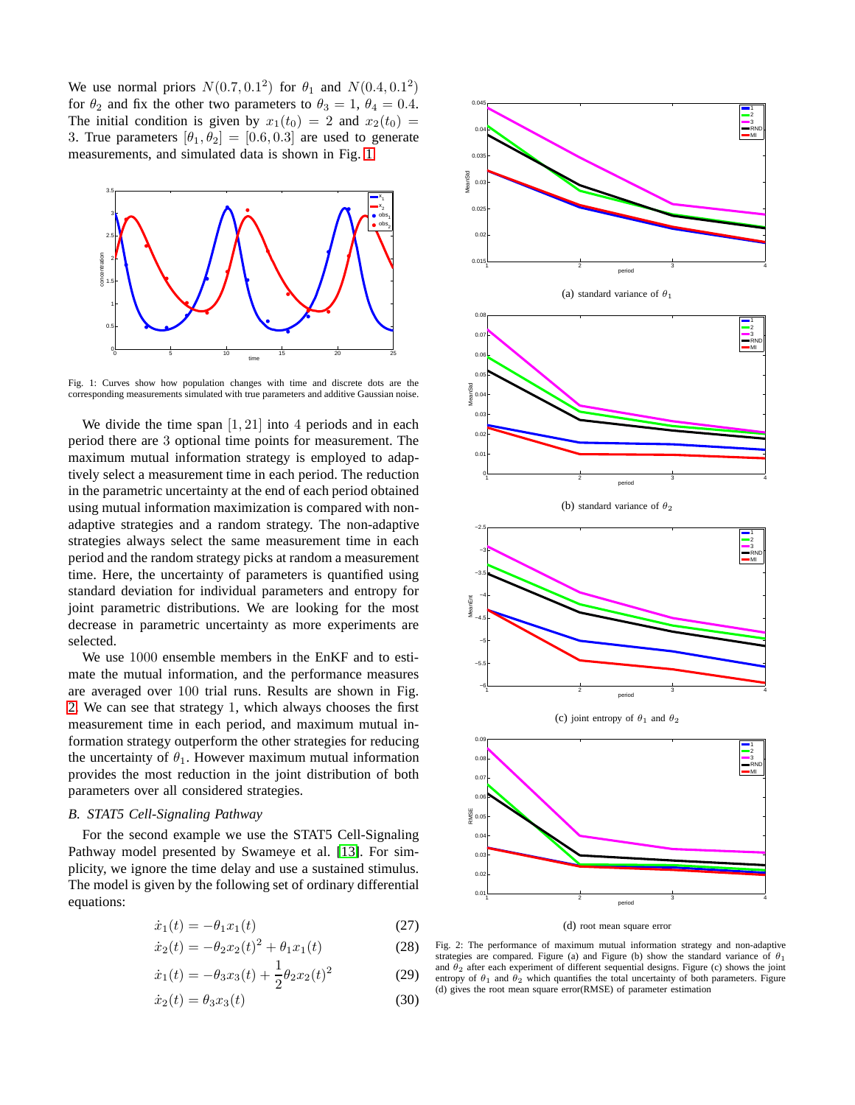We use normal priors  $N(0.7, 0.1^2)$  for  $\theta_1$  and  $N(0.4, 0.1^2)$ for  $\theta_2$  and fix the other two parameters to  $\theta_3 = 1$ ,  $\theta_4 = 0.4$ . The initial condition is given by  $x_1(t_0) = 2$  and  $x_2(t_0) =$ 3. True parameters  $[\theta_1, \theta_2] = [0.6, 0.3]$  are used to generate measurements, and simulated data is shown in Fig. [1.](#page-3-0)

<span id="page-3-0"></span>

Fig. 1: Curves show how population changes with time and discrete dots are the corresponding measurements simulated with true parameters and additive Gaussian noise.

We divide the time span  $[1, 21]$  into 4 periods and in each period there are 3 optional time points for measurement. The maximum mutual information strategy is employed to adaptively select a measurement time in each period. The reduction in the parametric uncertainty at the end of each period obtained using mutual information maximization is compared with nonadaptive strategies and a random strategy. The non-adaptive strategies always select the same measurement time in each period and the random strategy picks at random a measurement time. Here, the uncertainty of parameters is quantified using standard deviation for individual parameters and entropy for joint parametric distributions. We are looking for the most decrease in parametric uncertainty as more experiments are selected.

We use 1000 ensemble members in the EnKF and to estimate the mutual information, and the performance measures are averaged over 100 trial runs. Results are shown in Fig. [2.](#page-3-1) We can see that strategy 1, which always chooses the first measurement time in each period, and maximum mutual information strategy outperform the other strategies for reducing the uncertainty of  $\theta_1$ . However maximum mutual information provides the most reduction in the joint distribution of both parameters over all considered strategies.

#### *B. STAT5 Cell-Signaling Pathway*

For the second example we use the STAT5 Cell-Signaling Pathway model presented by Swameye et al. [\[13\]](#page-5-3). For simplicity, we ignore the time delay and use a sustained stimulus. The model is given by the following set of ordinary differential equations:

$$
\dot{x}_1(t) = -\theta_1 x_1(t) \tag{27}
$$

$$
\dot{x}_2(t) = -\theta_2 x_2(t)^2 + \theta_1 x_1(t)
$$
\n(28)

$$
\dot{x}_1(t) = -\theta_3 x_3(t) + \frac{1}{2}\theta_2 x_2(t)^2 \tag{29}
$$

$$
\dot{x}_2(t) = \theta_3 x_3(t) \tag{30}
$$

<span id="page-3-1"></span>



(d) root mean square error

Fig. 2: The performance of maximum mutual information strategy and non-adaptive strategies are compared. Figure (a) and Figure (b) show the standard variance of  $\theta_1$ and  $\theta_2$  after each experiment of different sequential designs. Figure (c) shows the joint entropy of  $\theta_1$  and  $\theta_2$  which quantifies the total uncertainty of both parameters. Figure (d) gives the root mean square error(RMSE) of parameter estimation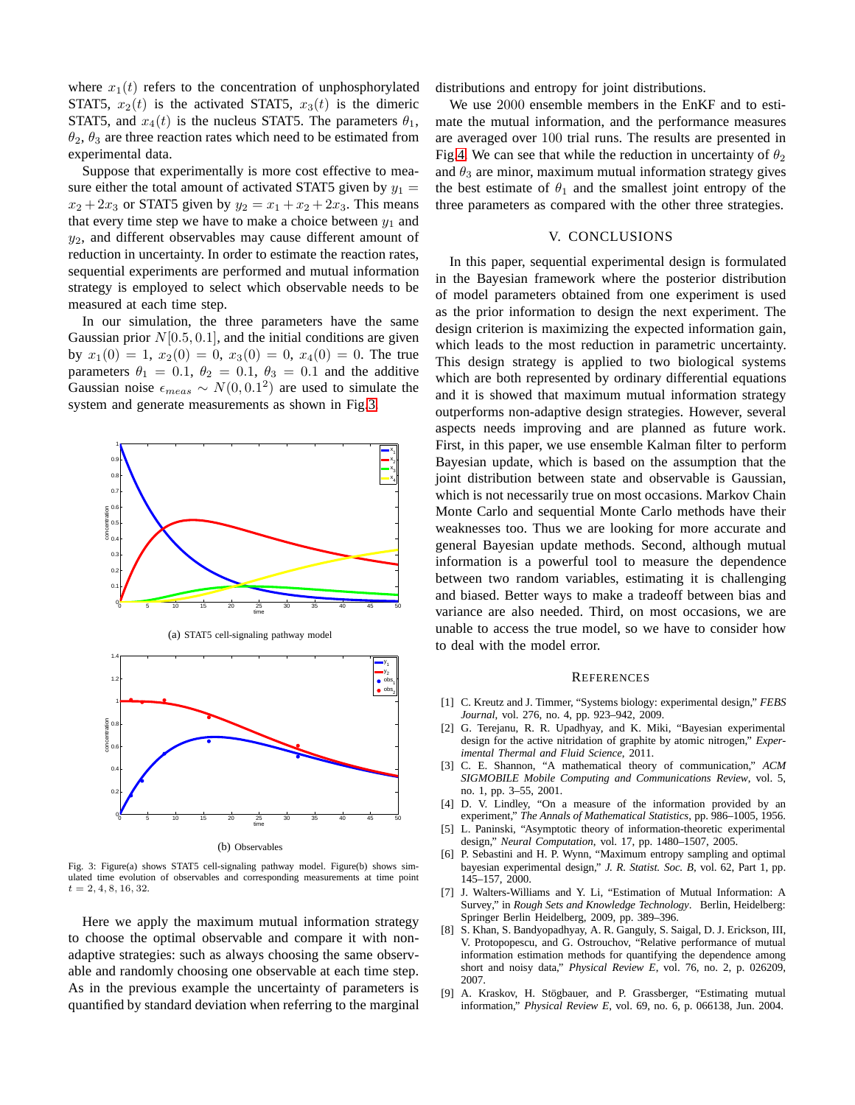where  $x_1(t)$  refers to the concentration of unphosphorylated STAT5,  $x_2(t)$  is the activated STAT5,  $x_3(t)$  is the dimeric STAT5, and  $x_4(t)$  is the nucleus STAT5. The parameters  $\theta_1$ ,  $\theta_2$ ,  $\theta_3$  are three reaction rates which need to be estimated from experimental data.

Suppose that experimentally is more cost effective to measure either the total amount of activated STAT5 given by  $y_1 =$  $x_2 + 2x_3$  or STAT5 given by  $y_2 = x_1 + x_2 + 2x_3$ . This means that every time step we have to make a choice between  $y_1$  and  $y_2$ , and different observables may cause different amount of reduction in uncertainty. In order to estimate the reaction rates, sequential experiments are performed and mutual information strategy is employed to select which observable needs to be measured at each time step.

In our simulation, the three parameters have the same Gaussian prior  $N[0.5, 0.1]$ , and the initial conditions are given by  $x_1(0) = 1$ ,  $x_2(0) = 0$ ,  $x_3(0) = 0$ ,  $x_4(0) = 0$ . The true parameters  $\theta_1 = 0.1$ ,  $\theta_2 = 0.1$ ,  $\theta_3 = 0.1$  and the additive Gaussian noise  $\epsilon_{meas} \sim N(0, 0.1^2)$  are used to simulate the system and generate measurements as shown in Fig[.3.](#page-4-10)

<span id="page-4-10"></span>



(a) STAT5 cell-signaling pathway model

(b) Observables

Fig. 3: Figure(a) shows STAT5 cell-signaling pathway model. Figure(b) shows simulated time evolution of observables and corresponding measurements at time point  $t = 2, 4, 8, 16, 32.$ 

Here we apply the maximum mutual information strategy to choose the optimal observable and compare it with nonadaptive strategies: such as always choosing the same observable and randomly choosing one observable at each time step. As in the previous example the uncertainty of parameters is quantified by standard deviation when referring to the marginal distributions and entropy for joint distributions.

We use 2000 ensemble members in the EnKF and to estimate the mutual information, and the performance measures are averaged over 100 trial runs. The results are presented in Fig[.4.](#page-5-4) We can see that while the reduction in uncertainty of  $\theta_2$ and  $\theta_3$  are minor, maximum mutual information strategy gives the best estimate of  $\theta_1$  and the smallest joint entropy of the three parameters as compared with the other three strategies.

#### V. CONCLUSIONS

<span id="page-4-9"></span>In this paper, sequential experimental design is formulated in the Bayesian framework where the posterior distribution of model parameters obtained from one experiment is used as the prior information to design the next experiment. The design criterion is maximizing the expected information gain, which leads to the most reduction in parametric uncertainty. This design strategy is applied to two biological systems which are both represented by ordinary differential equations and it is showed that maximum mutual information strategy outperforms non-adaptive design strategies. However, several aspects needs improving and are planned as future work. First, in this paper, we use ensemble Kalman filter to perform Bayesian update, which is based on the assumption that the joint distribution between state and observable is Gaussian, which is not necessarily true on most occasions. Markov Chain Monte Carlo and sequential Monte Carlo methods have their weaknesses too. Thus we are looking for more accurate and general Bayesian update methods. Second, although mutual information is a powerful tool to measure the dependence between two random variables, estimating it is challenging and biased. Better ways to make a tradeoff between bias and variance are also needed. Third, on most occasions, we are unable to access the true model, so we have to consider how to deal with the model error.

#### **REFERENCES**

- <span id="page-4-0"></span>[1] C. Kreutz and J. Timmer, "Systems biology: experimental design," *FEBS Journal*, vol. 276, no. 4, pp. 923–942, 2009.
- <span id="page-4-1"></span>[2] G. Terejanu, R. R. Upadhyay, and K. Miki, "Bayesian experimental design for the active nitridation of graphite by atomic nitrogen," *Experimental Thermal and Fluid Science*, 2011.
- <span id="page-4-2"></span>[3] C. E. Shannon, "A mathematical theory of communication," *ACM SIGMOBILE Mobile Computing and Communications Review*, vol. 5, no. 1, pp. 3–55, 2001.
- <span id="page-4-3"></span>[4] D. V. Lindley, "On a measure of the information provided by an experiment," *The Annals of Mathematical Statistics*, pp. 986–1005, 1956.
- <span id="page-4-4"></span>[5] L. Paninski, "Asymptotic theory of information-theoretic experimental design," *Neural Computation*, vol. 17, pp. 1480–1507, 2005.
- <span id="page-4-5"></span>[6] P. Sebastini and H. P. Wynn, "Maximum entropy sampling and optimal bayesian experimental design," *J. R. Statist. Soc. B*, vol. 62, Part 1, pp. 145–157, 2000.
- <span id="page-4-6"></span>[7] J. Walters-Williams and Y. Li, "Estimation of Mutual Information: A Survey," in *Rough Sets and Knowledge Technology*. Berlin, Heidelberg: Springer Berlin Heidelberg, 2009, pp. 389–396.
- <span id="page-4-7"></span>[8] S. Khan, S. Bandyopadhyay, A. R. Ganguly, S. Saigal, D. J. Erickson, III, V. Protopopescu, and G. Ostrouchov, "Relative performance of mutual information estimation methods for quantifying the dependence among short and noisy data," *Physical Review E*, vol. 76, no. 2, p. 026209, 2007.
- <span id="page-4-8"></span>[9] A. Kraskov, H. Stögbauer, and P. Grassberger, "Estimating mutual information," *Physical Review E*, vol. 69, no. 6, p. 066138, Jun. 2004.